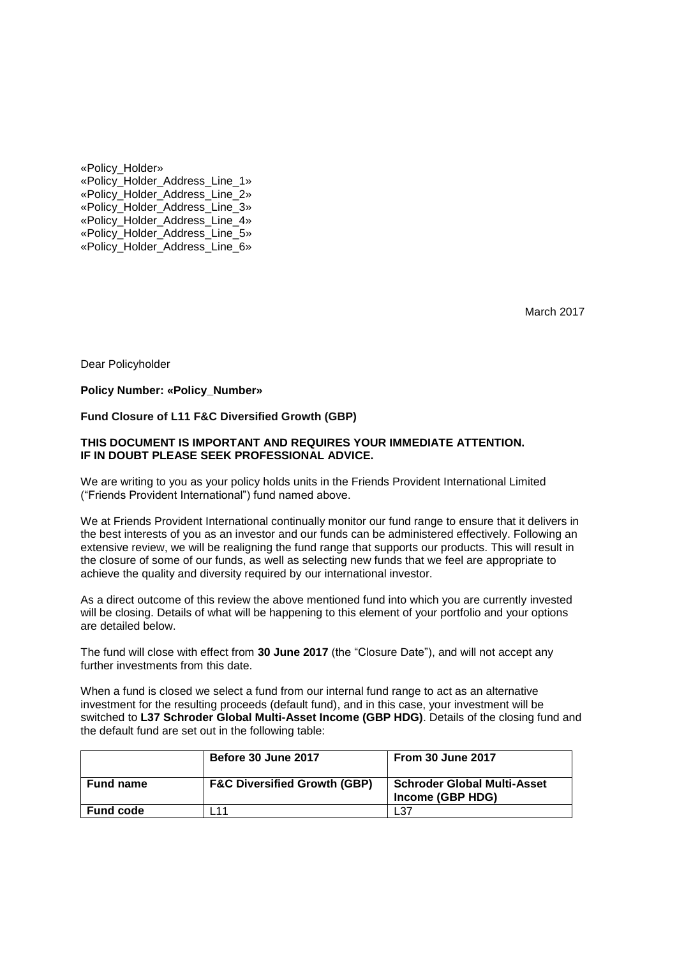«Policy\_Holder» «Policy\_Holder\_Address\_Line\_1» «Policy\_Holder\_Address\_Line\_2» «Policy\_Holder\_Address\_Line\_3» «Policy\_Holder\_Address\_Line\_4» «Policy\_Holder\_Address\_Line\_5» «Policy\_Holder\_Address\_Line\_6»

March 2017

Dear Policyholder

### **Policy Number: «Policy\_Number»**

## **Fund Closure of L11 F&C Diversified Growth (GBP)**

### **THIS DOCUMENT IS IMPORTANT AND REQUIRES YOUR IMMEDIATE ATTENTION. IF IN DOUBT PLEASE SEEK PROFESSIONAL ADVICE.**

We are writing to you as your policy holds units in the Friends Provident International Limited ("Friends Provident International") fund named above.

We at Friends Provident International continually monitor our fund range to ensure that it delivers in the best interests of you as an investor and our funds can be administered effectively. Following an extensive review, we will be realigning the fund range that supports our products. This will result in the closure of some of our funds, as well as selecting new funds that we feel are appropriate to achieve the quality and diversity required by our international investor.

As a direct outcome of this review the above mentioned fund into which you are currently invested will be closing. Details of what will be happening to this element of your portfolio and your options are detailed below.

The fund will close with effect from **30 June 2017** (the "Closure Date"), and will not accept any further investments from this date.

When a fund is closed we select a fund from our internal fund range to act as an alternative investment for the resulting proceeds (default fund), and in this case, your investment will be switched to **L37 Schroder Global Multi-Asset Income (GBP HDG)**. Details of the closing fund and the default fund are set out in the following table:

|                  | Before 30 June 2017                     | <b>From 30 June 2017</b>                               |
|------------------|-----------------------------------------|--------------------------------------------------------|
| <b>Fund name</b> | <b>F&amp;C Diversified Growth (GBP)</b> | <b>Schroder Global Multi-Asset</b><br>Income (GBP HDG) |
| <b>Fund code</b> | 111                                     | L37                                                    |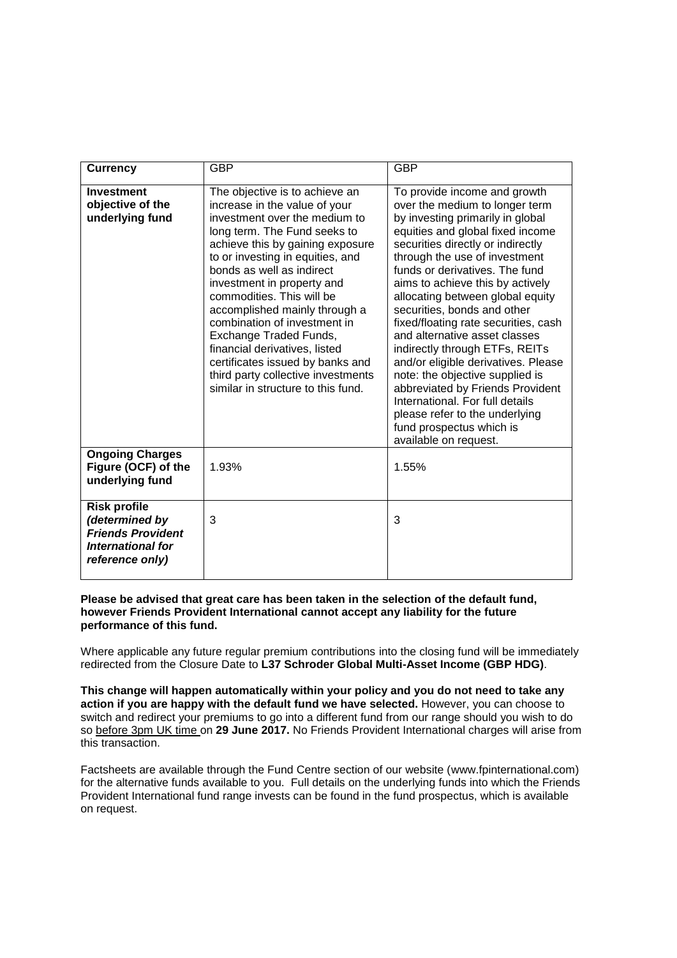| <b>Currency</b>                                                                                           | <b>GBP</b>                                                                                                                                                                                                                                                                                                                                                                                                                                                                                                                                   | <b>GBP</b>                                                                                                                                                                                                                                                                                                                                                                                                                                                                                                                                                                                                                                                                                               |
|-----------------------------------------------------------------------------------------------------------|----------------------------------------------------------------------------------------------------------------------------------------------------------------------------------------------------------------------------------------------------------------------------------------------------------------------------------------------------------------------------------------------------------------------------------------------------------------------------------------------------------------------------------------------|----------------------------------------------------------------------------------------------------------------------------------------------------------------------------------------------------------------------------------------------------------------------------------------------------------------------------------------------------------------------------------------------------------------------------------------------------------------------------------------------------------------------------------------------------------------------------------------------------------------------------------------------------------------------------------------------------------|
| <b>Investment</b><br>objective of the<br>underlying fund                                                  | The objective is to achieve an<br>increase in the value of your<br>investment over the medium to<br>long term. The Fund seeks to<br>achieve this by gaining exposure<br>to or investing in equities, and<br>bonds as well as indirect<br>investment in property and<br>commodities. This will be<br>accomplished mainly through a<br>combination of investment in<br>Exchange Traded Funds,<br>financial derivatives, listed<br>certificates issued by banks and<br>third party collective investments<br>similar in structure to this fund. | To provide income and growth<br>over the medium to longer term<br>by investing primarily in global<br>equities and global fixed income<br>securities directly or indirectly<br>through the use of investment<br>funds or derivatives. The fund<br>aims to achieve this by actively<br>allocating between global equity<br>securities, bonds and other<br>fixed/floating rate securities, cash<br>and alternative asset classes<br>indirectly through ETFs, REITs<br>and/or eligible derivatives. Please<br>note: the objective supplied is<br>abbreviated by Friends Provident<br>International. For full details<br>please refer to the underlying<br>fund prospectus which is<br>available on request. |
| <b>Ongoing Charges</b><br>Figure (OCF) of the<br>underlying fund                                          | 1.93%                                                                                                                                                                                                                                                                                                                                                                                                                                                                                                                                        | 1.55%                                                                                                                                                                                                                                                                                                                                                                                                                                                                                                                                                                                                                                                                                                    |
| <b>Risk profile</b><br>(determined by<br><b>Friends Provident</b><br>International for<br>reference only) | 3                                                                                                                                                                                                                                                                                                                                                                                                                                                                                                                                            | 3                                                                                                                                                                                                                                                                                                                                                                                                                                                                                                                                                                                                                                                                                                        |

## **Please be advised that great care has been taken in the selection of the default fund, however Friends Provident International cannot accept any liability for the future performance of this fund.**

Where applicable any future regular premium contributions into the closing fund will be immediately redirected from the Closure Date to **L37 Schroder Global Multi-Asset Income (GBP HDG)**.

**This change will happen automatically within your policy and you do not need to take any action if you are happy with the default fund we have selected.** However, you can choose to switch and redirect your premiums to go into a different fund from our range should you wish to do so before 3pm UK time on **29 June 2017.** No Friends Provident International charges will arise from this transaction.

Factsheets are available through the Fund Centre section of our website (www.fpinternational.com) for the alternative funds available to you. Full details on the underlying funds into which the Friends Provident International fund range invests can be found in the fund prospectus, which is available on request.